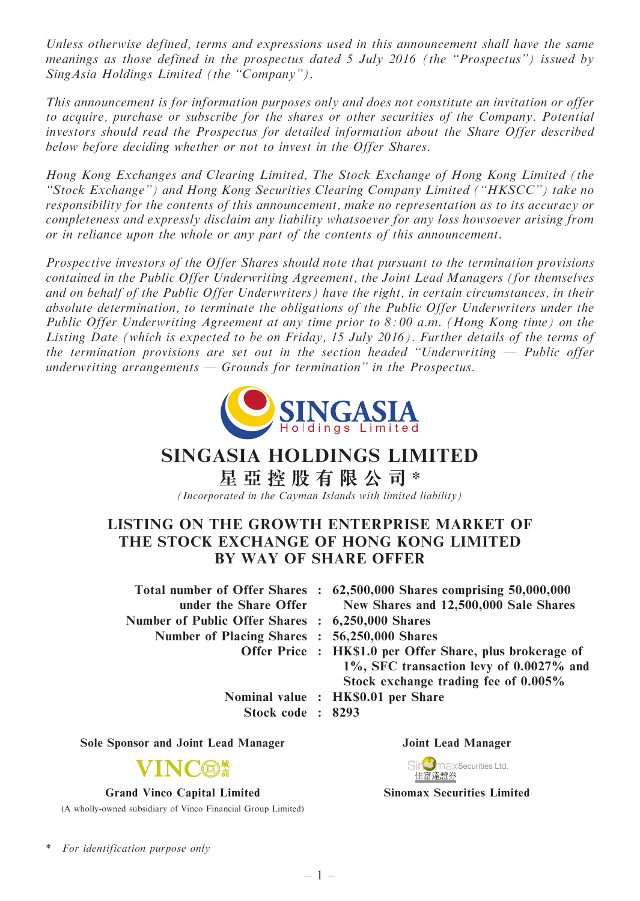Unless otherwise defined, terms and expressions used in this announcement shall have the same meanings as those defined in the prospectus dated 5 July 2016 (the ''Prospectus'') issued by Sing Asia Holdings Limited (the "Company").

This announcement is for information purposes only and does not constitute an invitation or offer to acquire, purchase or subscribe for the shares or other securities of the Company. Potential investors should read the Prospectus for detailed information about the Share Offer described below before deciding whether or not to invest in the Offer Shares.

Hong Kong Exchanges and Clearing Limited, The Stock Exchange of Hong Kong Limited (the ''Stock Exchange'') and Hong Kong Securities Clearing Company Limited (''HKSCC'') take no responsibility for the contents of this announcement, make no representation as to its accuracy or completeness and expressly disclaim any liability whatsoever for any loss howsoever arising from or in reliance upon the whole or any part of the contents of this announcement.

Prospective investors of the Offer Shares should note that pursuant to the termination provisions contained in the Public Offer Underwriting Agreement, the Joint Lead Managers (for themselves and on behalf of the Public Offer Underwriters) have the right, in certain circumstances, in their absolute determination, to terminate the obligations of the Public Offer Underwriters under the Public Offer Underwriting Agreement at any time prior to  $8:00$  a.m. (Hong Kong time) on the Listing Date (which is expected to be on Friday, 15 July 2016). Further details of the terms of the termination provisions are set out in the section headed "Underwriting  $-$  Public offer underwriting arrangements — Grounds for termination'' in the Prospectus.



# SINGASIA HOLDINGS LIMITED

星 亞 控 股 有 限 公 司 \*

(Incorporated in the Cayman Islands with limited liability)

# LISTING ON THE GROWTH ENTERPRISE MARKET OF THE STOCK EXCHANGE OF HONG KONG LIMITED BY WAY OF SHARE OFFER

Total number of Offer Shares : 62,500,000 Shares comprising 50,000,000 under the Share Offer New Shares and 12,500,000 Sale Shares Number of Public Offer Shares : 6,250,000 Shares Number of Placing Shares : 56,250,000 Shares Offer Price : HK\$1.0 per Offer Share, plus brokerage of

Stock code : 8293

Sole Sponsor and Joint Lead Manager Joint Lead Manager



#### Grand Vinco Capital Limited

(A wholly-owned subsidiary of Vinco Financial Group Limited)

- 1%, SFC transaction levy of 0.0027% and Stock exchange trading fee of 0.005%
- Nominal value : HK\$0.01 per Share
	-



Sinomax Securities Limited

For identification purpose only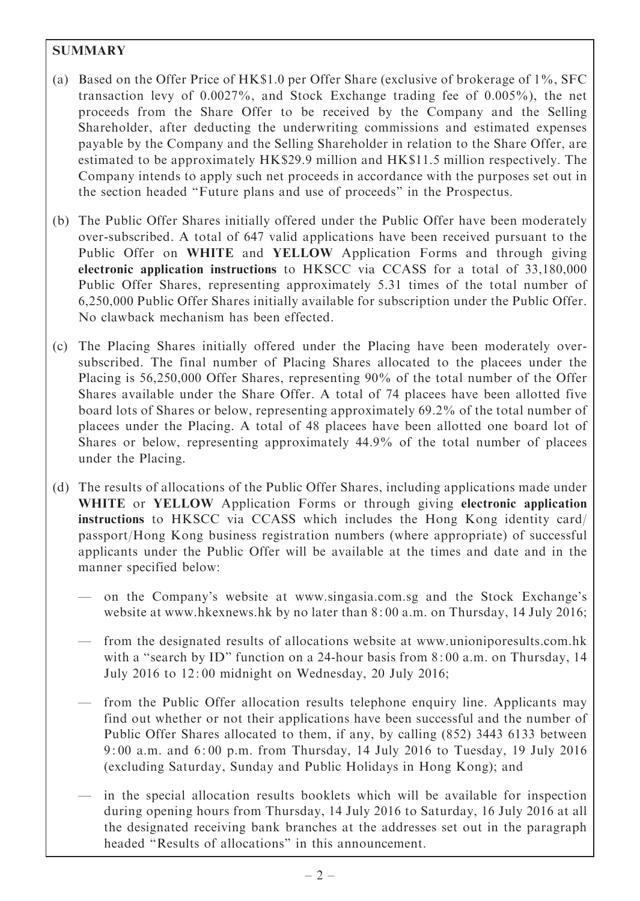# **SUMMARY**

- (a) Based on the Offer Price of HK\$1.0 per Offer Share (exclusive of brokerage of 1%, SFC transaction levy of 0.0027%, and Stock Exchange trading fee of 0.005%), the net proceeds from the Share Offer to be received by the Company and the Selling Shareholder, after deducting the underwriting commissions and estimated expenses payable by the Company and the Selling Shareholder in relation to the Share Offer, are estimated to be approximately HK\$29.9 million and HK\$11.5 million respectively. The Company intends to apply such net proceeds in accordance with the purposes set out in the section headed ''Future plans and use of proceeds'' in the Prospectus.
- (b) The Public Offer Shares initially offered under the Public Offer have been moderately over-subscribed. A total of 647 valid applications have been received pursuant to the Public Offer on WHITE and YELLOW Application Forms and through giving electronic application instructions to HKSCC via CCASS for a total of 33,180,000 Public Offer Shares, representing approximately 5.31 times of the total number of 6,250,000 Public Offer Shares initially available for subscription under the Public Offer. No clawback mechanism has been effected.
- (c) The Placing Shares initially offered under the Placing have been moderately oversubscribed. The final number of Placing Shares allocated to the placees under the Placing is 56,250,000 Offer Shares, representing 90% of the total number of the Offer Shares available under the Share Offer. A total of 74 placees have been allotted five board lots of Shares or below, representing approximately 69.2% of the total number of placees under the Placing. A total of 48 placees have been allotted one board lot of Shares or below, representing approximately 44.9% of the total number of placees under the Placing.
- (d) The results of allocations of the Public Offer Shares, including applications made under WHITE or YELLOW Application Forms or through giving electronic application instructions to HKSCC via CCASS which includes the Hong Kong identity card/ passport/Hong Kong business registration numbers (where appropriate) of successful applicants under the Public Offer will be available at the times and date and in the manner specified below:
	- on the Company's website at www.singasia.com.sg and the Stock Exchange's website at www.hkexnews.hk by no later than 8: 00 a.m. on Thursday, 14 July 2016;
	- from the designated results of allocations website at www.unioniporesults.com.hk with a "search by ID" function on a 24-hour basis from 8:00 a.m. on Thursday, 14 July 2016 to 12: 00 midnight on Wednesday, 20 July 2016;
	- from the Public Offer allocation results telephone enquiry line. Applicants may find out whether or not their applications have been successful and the number of Public Offer Shares allocated to them, if any, by calling (852) 3443 6133 between 9: 00 a.m. and 6: 00 p.m. from Thursday, 14 July 2016 to Tuesday, 19 July 2016 (excluding Saturday, Sunday and Public Holidays in Hong Kong); and
	- in the special allocation results booklets which will be available for inspection during opening hours from Thursday, 14 July 2016 to Saturday, 16 July 2016 at all the designated receiving bank branches at the addresses set out in the paragraph headed ''Results of allocations'' in this announcement.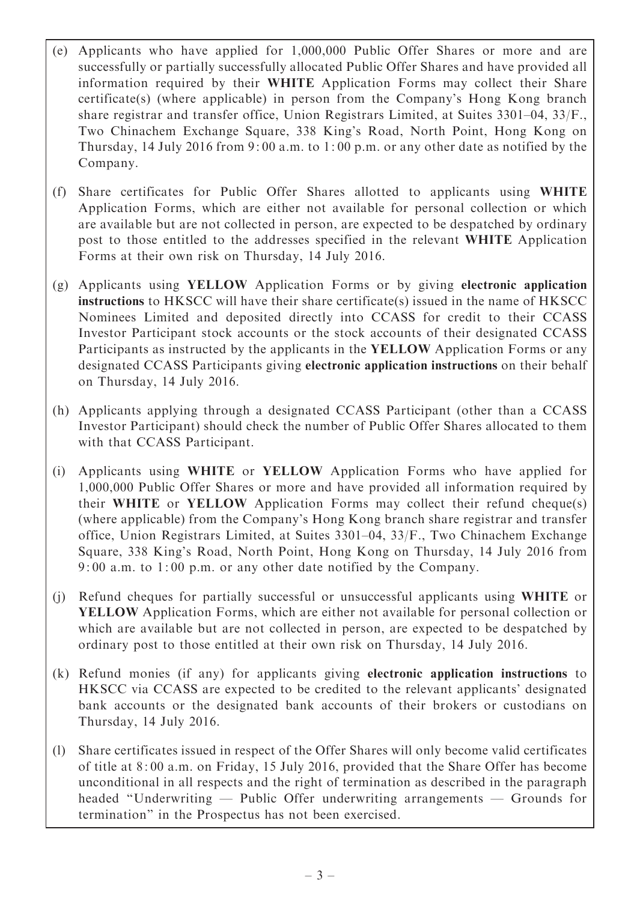- (e) Applicants who have applied for 1,000,000 Public Offer Shares or more and are successfully or partially successfully allocated Public Offer Shares and have provided all information required by their WHITE Application Forms may collect their Share certificate(s) (where applicable) in person from the Company's Hong Kong branch share registrar and transfer office, Union Registrars Limited, at Suites 3301–04, 33/F., Two Chinachem Exchange Square, 338 King's Road, North Point, Hong Kong on Thursday, 14 July 2016 from 9: 00 a.m. to 1: 00 p.m. or any other date as notified by the Company.
- (f) Share certificates for Public Offer Shares allotted to applicants using WHITE Application Forms, which are either not available for personal collection or which are available but are not collected in person, are expected to be despatched by ordinary post to those entitled to the addresses specified in the relevant WHITE Application Forms at their own risk on Thursday, 14 July 2016.
- (g) Applicants using YELLOW Application Forms or by giving electronic application instructions to HKSCC will have their share certificate(s) issued in the name of HKSCC Nominees Limited and deposited directly into CCASS for credit to their CCASS Investor Participant stock accounts or the stock accounts of their designated CCASS Participants as instructed by the applicants in the YELLOW Application Forms or any designated CCASS Participants giving electronic application instructions on their behalf on Thursday, 14 July 2016.
- (h) Applicants applying through a designated CCASS Participant (other than a CCASS Investor Participant) should check the number of Public Offer Shares allocated to them with that CCASS Participant.
- (i) Applicants using WHITE or YELLOW Application Forms who have applied for 1,000,000 Public Offer Shares or more and have provided all information required by their WHITE or YELLOW Application Forms may collect their refund cheque(s) (where applicable) from the Company's Hong Kong branch share registrar and transfer office, Union Registrars Limited, at Suites 3301–04, 33/F., Two Chinachem Exchange Square, 338 King's Road, North Point, Hong Kong on Thursday, 14 July 2016 from 9: 00 a.m. to 1: 00 p.m. or any other date notified by the Company.
- (j) Refund cheques for partially successful or unsuccessful applicants using WHITE or YELLOW Application Forms, which are either not available for personal collection or which are available but are not collected in person, are expected to be despatched by ordinary post to those entitled at their own risk on Thursday, 14 July 2016.
- (k) Refund monies (if any) for applicants giving electronic application instructions to HKSCC via CCASS are expected to be credited to the relevant applicants' designated bank accounts or the designated bank accounts of their brokers or custodians on Thursday, 14 July 2016.
- (l) Share certificates issued in respect of the Offer Shares will only become valid certificates of title at 8: 00 a.m. on Friday, 15 July 2016, provided that the Share Offer has become unconditional in all respects and the right of termination as described in the paragraph headed ''Underwriting — Public Offer underwriting arrangements — Grounds for termination'' in the Prospectus has not been exercised.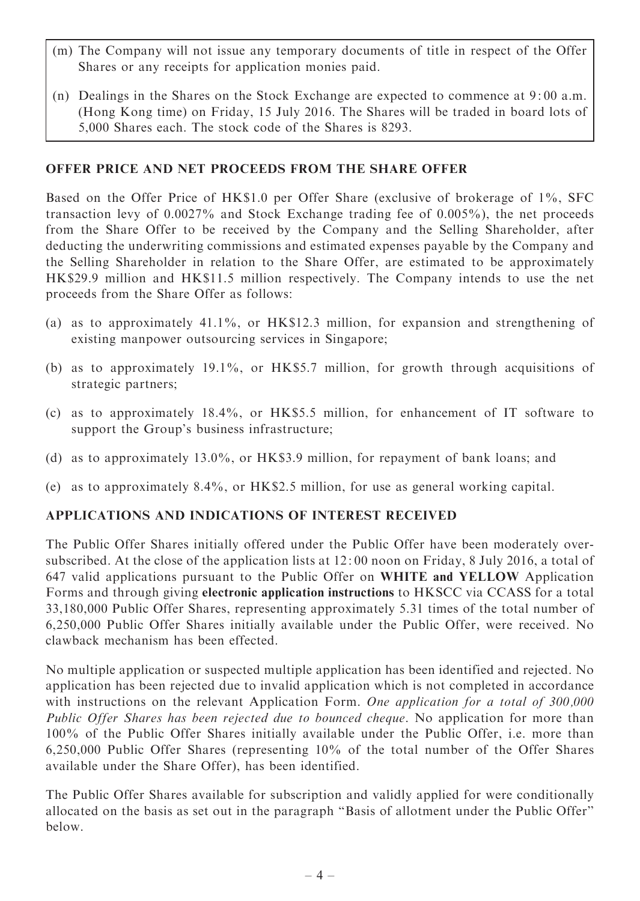- (m) The Company will not issue any temporary documents of title in respect of the Offer Shares or any receipts for application monies paid.
- (n) Dealings in the Shares on the Stock Exchange are expected to commence at 9: 00 a.m. (Hong Kong time) on Friday, 15 July 2016. The Shares will be traded in board lots of 5,000 Shares each. The stock code of the Shares is 8293.

## OFFER PRICE AND NET PROCEEDS FROM THE SHARE OFFER

Based on the Offer Price of HK\$1.0 per Offer Share (exclusive of brokerage of 1%, SFC transaction levy of 0.0027% and Stock Exchange trading fee of 0.005%), the net proceeds from the Share Offer to be received by the Company and the Selling Shareholder, after deducting the underwriting commissions and estimated expenses payable by the Company and the Selling Shareholder in relation to the Share Offer, are estimated to be approximately HK\$29.9 million and HK\$11.5 million respectively. The Company intends to use the net proceeds from the Share Offer as follows:

- (a) as to approximately 41.1%, or HK\$12.3 million, for expansion and strengthening of existing manpower outsourcing services in Singapore;
- (b) as to approximately 19.1%, or HK\$5.7 million, for growth through acquisitions of strategic partners;
- (c) as to approximately 18.4%, or HK\$5.5 million, for enhancement of IT software to support the Group's business infrastructure;
- (d) as to approximately 13.0%, or HK\$3.9 million, for repayment of bank loans; and
- (e) as to approximately 8.4%, or HK\$2.5 million, for use as general working capital.

## APPLICATIONS AND INDICATIONS OF INTEREST RECEIVED

The Public Offer Shares initially offered under the Public Offer have been moderately oversubscribed. At the close of the application lists at 12: 00 noon on Friday, 8 July 2016, a total of 647 valid applications pursuant to the Public Offer on WHITE and YELLOW Application Forms and through giving electronic application instructions to HKSCC via CCASS for a total 33,180,000 Public Offer Shares, representing approximately 5.31 times of the total number of 6,250,000 Public Offer Shares initially available under the Public Offer, were received. No clawback mechanism has been effected.

No multiple application or suspected multiple application has been identified and rejected. No application has been rejected due to invalid application which is not completed in accordance with instructions on the relevant Application Form. One application for a total of 300,000 Public Offer Shares has been rejected due to bounced cheque. No application for more than 100% of the Public Offer Shares initially available under the Public Offer, i.e. more than 6,250,000 Public Offer Shares (representing 10% of the total number of the Offer Shares available under the Share Offer), has been identified.

The Public Offer Shares available for subscription and validly applied for were conditionally allocated on the basis as set out in the paragraph ''Basis of allotment under the Public Offer'' below.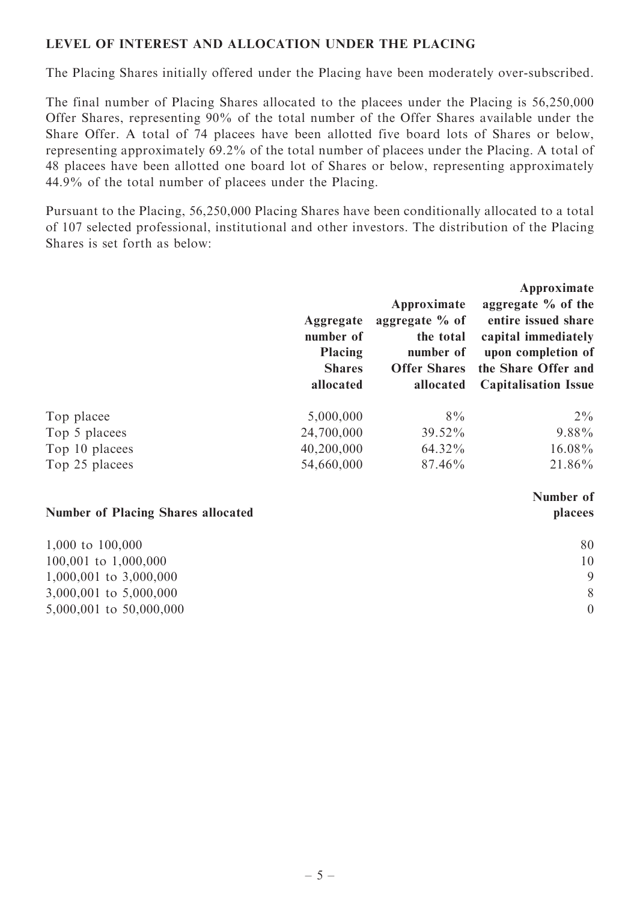## LEVEL OF INTEREST AND ALLOCATION UNDER THE PLACING

The Placing Shares initially offered under the Placing have been moderately over-subscribed.

The final number of Placing Shares allocated to the placees under the Placing is 56,250,000 Offer Shares, representing 90% of the total number of the Offer Shares available under the Share Offer. A total of 74 placees have been allotted five board lots of Shares or below, representing approximately 69.2% of the total number of placees under the Placing. A total of 48 placees have been allotted one board lot of Shares or below, representing approximately 44.9% of the total number of placees under the Placing.

Pursuant to the Placing, 56,250,000 Placing Shares have been conditionally allocated to a total of 107 selected professional, institutional and other investors. The distribution of the Placing Shares is set forth as below:

|                | Aggregate<br>number of<br><b>Placing</b><br><b>Shares</b><br>allocated | Approximate<br>aggregate $%$ of<br>the total<br>number of<br><b>Offer Shares</b><br>allocated | Approximate<br>aggregate $\%$ of the<br>entire issued share<br>capital immediately<br>upon completion of<br>the Share Offer and<br><b>Capitalisation Issue</b> |
|----------------|------------------------------------------------------------------------|-----------------------------------------------------------------------------------------------|----------------------------------------------------------------------------------------------------------------------------------------------------------------|
| Top placee     | 5,000,000                                                              | $8\%$                                                                                         | $2\%$                                                                                                                                                          |
| Top 5 placees  | 24,700,000                                                             | 39.52%                                                                                        | $9.88\%$                                                                                                                                                       |
| Top 10 placees | 40,200,000                                                             | 64.32%                                                                                        | 16.08%                                                                                                                                                         |
| Top 25 placees | 54,660,000                                                             | 87.46%                                                                                        | 21.86%                                                                                                                                                         |

#### Number of Placing Shares allocated

| 1,000 to $100,000$         | 80 |
|----------------------------|----|
| $100,001$ to $1,000,000$   | 10 |
| $1,000,001$ to $3,000,000$ | 9  |
| 3,000,001 to 5,000,000     | 8  |
| 5,000,001 to 50,000,000    |    |

Number of placees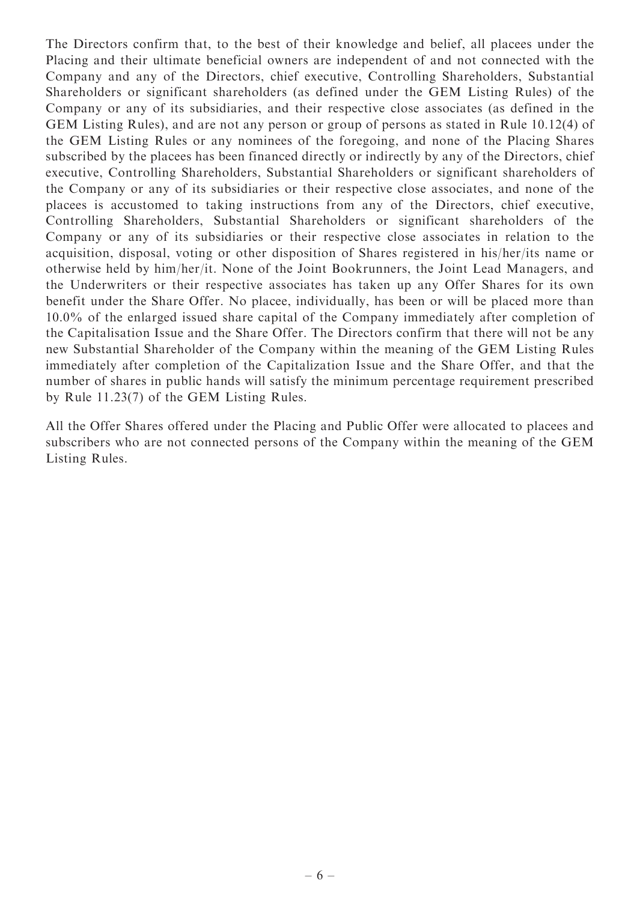The Directors confirm that, to the best of their knowledge and belief, all placees under the Placing and their ultimate beneficial owners are independent of and not connected with the Company and any of the Directors, chief executive, Controlling Shareholders, Substantial Shareholders or significant shareholders (as defined under the GEM Listing Rules) of the Company or any of its subsidiaries, and their respective close associates (as defined in the GEM Listing Rules), and are not any person or group of persons as stated in Rule 10.12(4) of the GEM Listing Rules or any nominees of the foregoing, and none of the Placing Shares subscribed by the placees has been financed directly or indirectly by any of the Directors, chief executive, Controlling Shareholders, Substantial Shareholders or significant shareholders of the Company or any of its subsidiaries or their respective close associates, and none of the placees is accustomed to taking instructions from any of the Directors, chief executive, Controlling Shareholders, Substantial Shareholders or significant shareholders of the Company or any of its subsidiaries or their respective close associates in relation to the acquisition, disposal, voting or other disposition of Shares registered in his/her/its name or otherwise held by him/her/it. None of the Joint Bookrunners, the Joint Lead Managers, and the Underwriters or their respective associates has taken up any Offer Shares for its own benefit under the Share Offer. No placee, individually, has been or will be placed more than 10.0% of the enlarged issued share capital of the Company immediately after completion of the Capitalisation Issue and the Share Offer. The Directors confirm that there will not be any new Substantial Shareholder of the Company within the meaning of the GEM Listing Rules immediately after completion of the Capitalization Issue and the Share Offer, and that the number of shares in public hands will satisfy the minimum percentage requirement prescribed by Rule 11.23(7) of the GEM Listing Rules.

All the Offer Shares offered under the Placing and Public Offer were allocated to placees and subscribers who are not connected persons of the Company within the meaning of the GEM Listing Rules.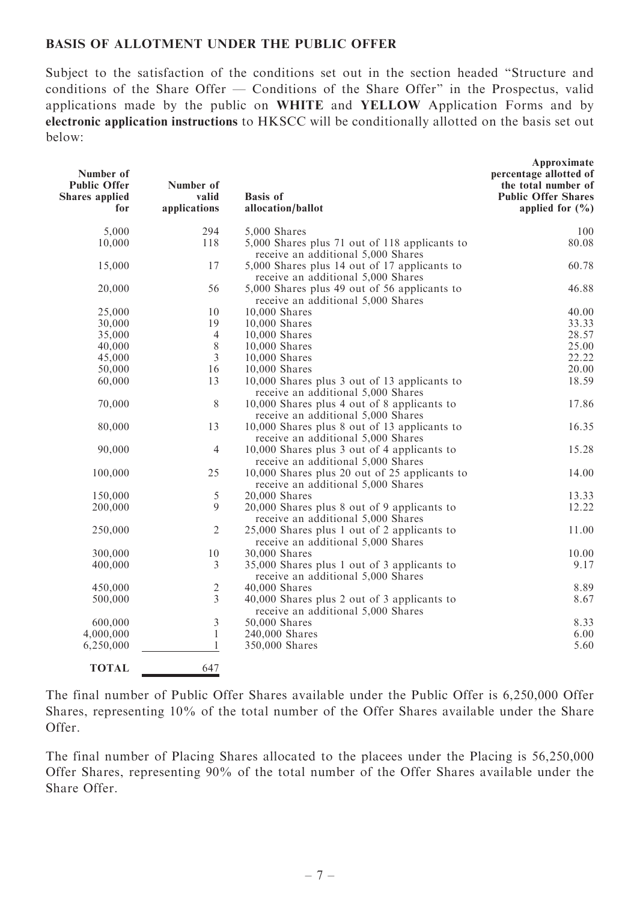### BASIS OF ALLOTMENT UNDER THE PUBLIC OFFER

Subject to the satisfaction of the conditions set out in the section headed ''Structure and conditions of the Share Offer — Conditions of the Share Offer'' in the Prospectus, valid applications made by the public on WHITE and YELLOW Application Forms and by electronic application instructions to HKSCC will be conditionally allotted on the basis set out below:

| Number of<br><b>Public Offer</b><br><b>Shares</b> applied<br>for | Number of<br>valid<br>applications | <b>Basis</b> of<br>allocation/ballot                                                | Approximate<br>percentage allotted of<br>the total number of<br><b>Public Offer Shares</b><br>applied for $(\frac{0}{0})$ |
|------------------------------------------------------------------|------------------------------------|-------------------------------------------------------------------------------------|---------------------------------------------------------------------------------------------------------------------------|
| 5,000                                                            | 294                                | 5,000 Shares                                                                        | 100                                                                                                                       |
| 10,000                                                           | 118                                | 5,000 Shares plus 71 out of 118 applicants to<br>receive an additional 5,000 Shares | 80.08                                                                                                                     |
| 15,000                                                           | 17                                 | 5,000 Shares plus 14 out of 17 applicants to<br>receive an additional 5,000 Shares  | 60.78                                                                                                                     |
| 20,000                                                           | 56                                 | 5,000 Shares plus 49 out of 56 applicants to<br>receive an additional 5,000 Shares  | 46.88                                                                                                                     |
| 25,000                                                           | 10                                 | 10,000 Shares                                                                       | 40.00                                                                                                                     |
| 30,000                                                           | 19                                 | 10,000 Shares                                                                       | 33.33                                                                                                                     |
| 35,000                                                           | $\overline{4}$                     | 10,000 Shares                                                                       | 28.57                                                                                                                     |
| 40,000                                                           | $8\,$                              | 10,000 Shares                                                                       | 25.00                                                                                                                     |
| 45,000                                                           | 3                                  | 10,000 Shares                                                                       | 22.22                                                                                                                     |
| 50,000                                                           | 16                                 | 10,000 Shares                                                                       | 20.00                                                                                                                     |
| 60,000                                                           | 13                                 | 10,000 Shares plus 3 out of 13 applicants to                                        | 18.59                                                                                                                     |
|                                                                  |                                    | receive an additional 5,000 Shares                                                  |                                                                                                                           |
| 70,000                                                           | 8                                  | 10,000 Shares plus 4 out of 8 applicants to<br>receive an additional 5,000 Shares   | 17.86                                                                                                                     |
| 80,000                                                           | 13                                 | 10,000 Shares plus 8 out of 13 applicants to                                        | 16.35                                                                                                                     |
|                                                                  |                                    | receive an additional 5,000 Shares                                                  |                                                                                                                           |
| 90,000                                                           | $\overline{4}$                     | 10,000 Shares plus 3 out of 4 applicants to<br>receive an additional 5,000 Shares   | 15.28                                                                                                                     |
| 100,000                                                          | 25                                 | 10,000 Shares plus 20 out of 25 applicants to<br>receive an additional 5,000 Shares | 14.00                                                                                                                     |
| 150,000                                                          | 5                                  | 20,000 Shares                                                                       | 13.33                                                                                                                     |
| 200,000                                                          | 9                                  | 20,000 Shares plus 8 out of 9 applicants to<br>receive an additional 5,000 Shares   | 12.22                                                                                                                     |
| 250,000                                                          | $\overline{2}$                     | 25,000 Shares plus 1 out of 2 applicants to<br>receive an additional 5,000 Shares   | 11.00                                                                                                                     |
| 300,000                                                          | $10\,$                             | 30,000 Shares                                                                       | 10.00                                                                                                                     |
| 400,000                                                          | 3                                  | 35,000 Shares plus 1 out of 3 applicants to<br>receive an additional 5,000 Shares   | 9.17                                                                                                                      |
| 450,000                                                          | $\overline{c}$                     | 40,000 Shares                                                                       | 8.89                                                                                                                      |
| 500,000                                                          | $\overline{3}$                     | 40,000 Shares plus 2 out of 3 applicants to                                         | 8.67                                                                                                                      |
|                                                                  |                                    | receive an additional 5,000 Shares                                                  |                                                                                                                           |
| 600,000                                                          | 3                                  | 50,000 Shares                                                                       | 8.33                                                                                                                      |
| 4,000,000                                                        | $\mathbf{1}$                       | 240,000 Shares                                                                      | 6.00                                                                                                                      |
| 6,250,000                                                        | $\mathbf{1}$                       | 350,000 Shares                                                                      | 5.60                                                                                                                      |
| <b>TOTAL</b>                                                     | 647                                |                                                                                     |                                                                                                                           |

The final number of Public Offer Shares available under the Public Offer is 6,250,000 Offer Shares, representing 10% of the total number of the Offer Shares available under the Share Offer.

The final number of Placing Shares allocated to the placees under the Placing is 56,250,000 Offer Shares, representing 90% of the total number of the Offer Shares available under the Share Offer.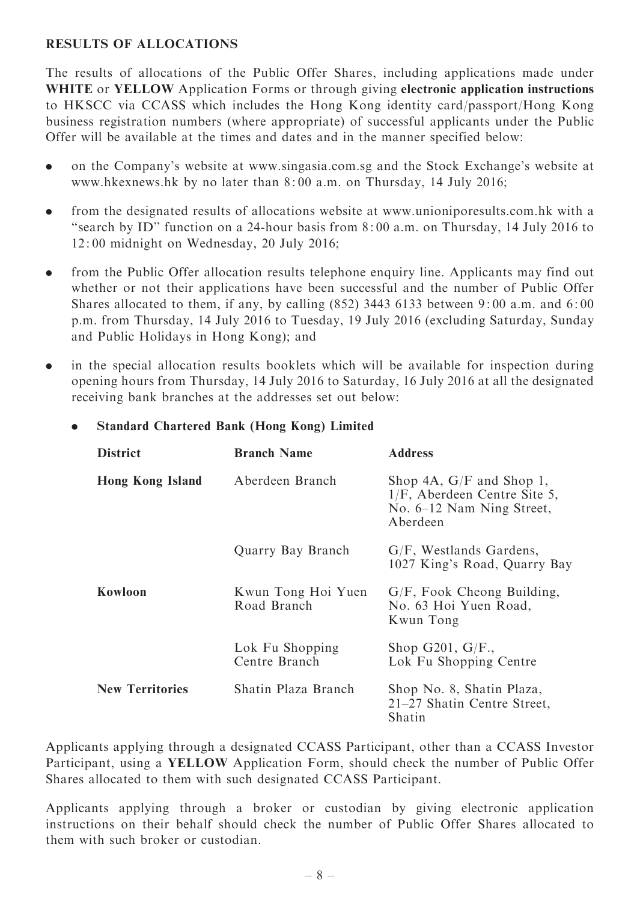## RESULTS OF ALLOCATIONS

The results of allocations of the Public Offer Shares, including applications made under WHITE or YELLOW Application Forms or through giving electronic application instructions to HKSCC via CCASS which includes the Hong Kong identity card/passport/Hong Kong business registration numbers (where appropriate) of successful applicants under the Public Offer will be available at the times and dates and in the manner specified below:

- . on the Company's website at www.singasia.com.sg and the Stock Exchange's website at www.hkexnews.hk by no later than 8: 00 a.m. on Thursday, 14 July 2016;
- . from the designated results of allocations website at www.unioniporesults.com.hk with a "search by ID" function on a 24-hour basis from 8:00 a.m. on Thursday, 14 July 2016 to 12: 00 midnight on Wednesday, 20 July 2016;
- . from the Public Offer allocation results telephone enquiry line. Applicants may find out whether or not their applications have been successful and the number of Public Offer Shares allocated to them, if any, by calling (852) 3443 6133 between 9: 00 a.m. and 6: 00 p.m. from Thursday, 14 July 2016 to Tuesday, 19 July 2016 (excluding Saturday, Sunday and Public Holidays in Hong Kong); and
- . in the special allocation results booklets which will be available for inspection during opening hours from Thursday, 14 July 2016 to Saturday, 16 July 2016 at all the designated receiving bank branches at the addresses set out below:

| <b>District</b>         | <b>Branch Name</b>                | <b>Address</b>                                                                                         |
|-------------------------|-----------------------------------|--------------------------------------------------------------------------------------------------------|
| <b>Hong Kong Island</b> | Aberdeen Branch                   | Shop 4A, $G/F$ and Shop 1,<br>$1/F$ , Aberdeen Centre Site 5,<br>No. 6–12 Nam Ning Street,<br>Aberdeen |
|                         | Quarry Bay Branch                 | $G/F$ , Westlands Gardens,<br>1027 King's Road, Quarry Bay                                             |
| Kowloon                 | Kwun Tong Hoi Yuen<br>Road Branch | $G/F$ , Fook Cheong Building,<br>No. 63 Hoi Yuen Road,<br>Kwun Tong                                    |
|                         | Lok Fu Shopping<br>Centre Branch  | Shop G201, $G/F.$<br>Lok Fu Shopping Centre                                                            |
| <b>New Territories</b>  | Shatin Plaza Branch               | Shop No. 8, Shatin Plaza,<br>21–27 Shatin Centre Street,<br>Shatin                                     |

## . Standard Chartered Bank (Hong Kong) Limited

Applicants applying through a designated CCASS Participant, other than a CCASS Investor Participant, using a YELLOW Application Form, should check the number of Public Offer Shares allocated to them with such designated CCASS Participant.

Applicants applying through a broker or custodian by giving electronic application instructions on their behalf should check the number of Public Offer Shares allocated to them with such broker or custodian.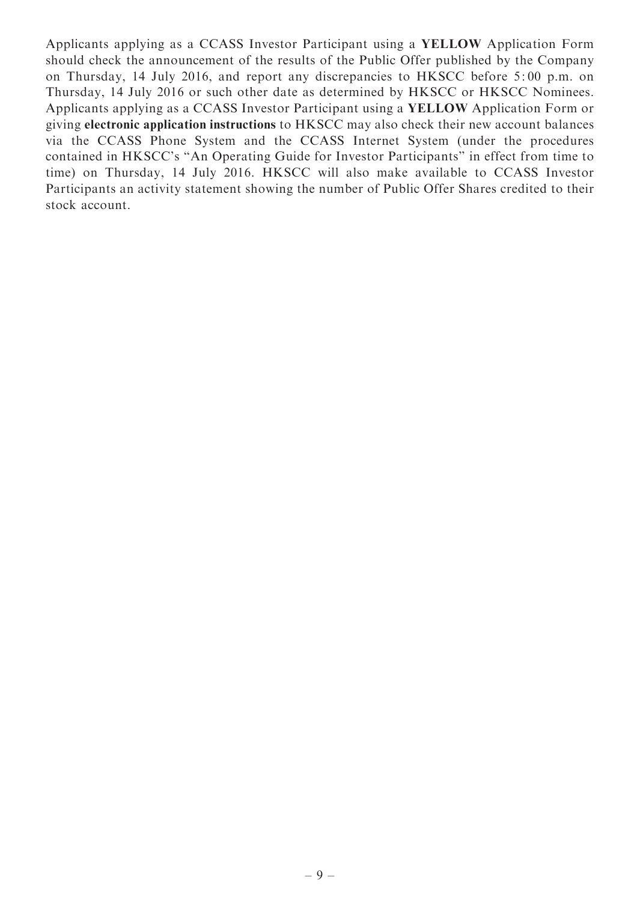Applicants applying as a CCASS Investor Participant using a YELLOW Application Form should check the announcement of the results of the Public Offer published by the Company on Thursday, 14 July 2016, and report any discrepancies to HKSCC before 5: 00 p.m. on Thursday, 14 July 2016 or such other date as determined by HKSCC or HKSCC Nominees. Applicants applying as a CCASS Investor Participant using a YELLOW Application Form or giving electronic application instructions to HKSCC may also check their new account balances via the CCASS Phone System and the CCASS Internet System (under the procedures contained in HKSCC's ''An Operating Guide for Investor Participants'' in effect from time to time) on Thursday, 14 July 2016. HKSCC will also make available to CCASS Investor Participants an activity statement showing the number of Public Offer Shares credited to their stock account.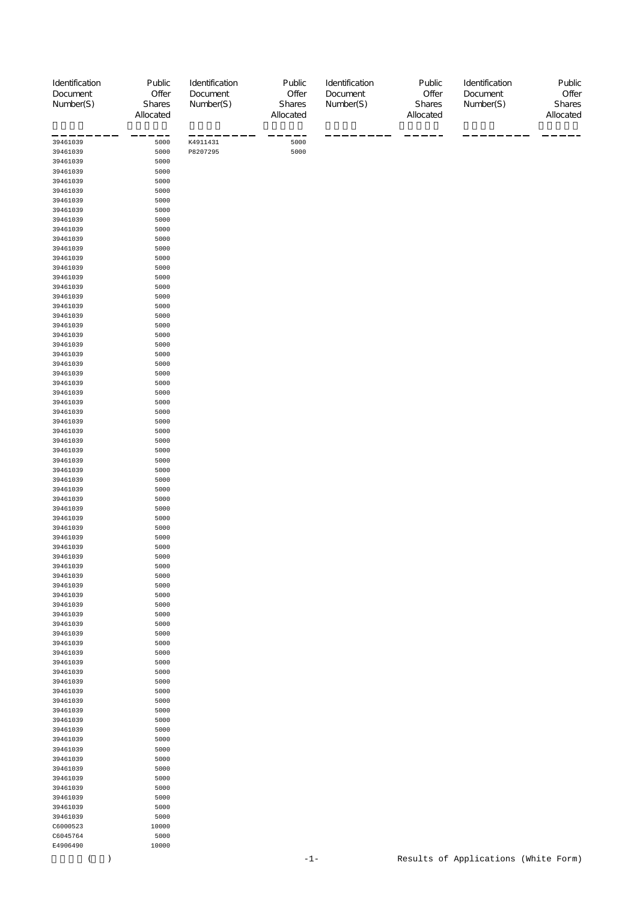| Identification       | Public              | Identification       | Public              | Identification | Public              | Identification                       | Public              |
|----------------------|---------------------|----------------------|---------------------|----------------|---------------------|--------------------------------------|---------------------|
| Document             | Offer               | Document             | Offer               | Document       | Offer               | Document                             | Offer               |
| Number(S)            | Shares<br>Allocated | Number(S)            | Shares<br>Allocated | Number(S)      | Shares<br>Allocated | Number(S)                            | Shares<br>Allocated |
|                      |                     |                      |                     |                |                     |                                      |                     |
|                      |                     |                      |                     |                |                     |                                      |                     |
| 39461039<br>39461039 | 5000<br>5000        | K4911431<br>P8207295 | 5000<br>5000        |                |                     |                                      |                     |
| 39461039             | 5000                |                      |                     |                |                     |                                      |                     |
| 39461039             | 5000                |                      |                     |                |                     |                                      |                     |
| 39461039             | 5000                |                      |                     |                |                     |                                      |                     |
| 39461039             | 5000                |                      |                     |                |                     |                                      |                     |
| 39461039             | 5000                |                      |                     |                |                     |                                      |                     |
| 39461039             | 5000                |                      |                     |                |                     |                                      |                     |
| 39461039             | 5000                |                      |                     |                |                     |                                      |                     |
| 39461039             | 5000                |                      |                     |                |                     |                                      |                     |
| 39461039<br>39461039 | 5000<br>5000        |                      |                     |                |                     |                                      |                     |
| 39461039             | 5000                |                      |                     |                |                     |                                      |                     |
| 39461039             | 5000                |                      |                     |                |                     |                                      |                     |
| 39461039             | 5000                |                      |                     |                |                     |                                      |                     |
| 39461039             | 5000                |                      |                     |                |                     |                                      |                     |
| 39461039             | 5000                |                      |                     |                |                     |                                      |                     |
| 39461039             | 5000                |                      |                     |                |                     |                                      |                     |
| 39461039             | 5000                |                      |                     |                |                     |                                      |                     |
| 39461039             | 5000                |                      |                     |                |                     |                                      |                     |
| 39461039<br>39461039 | 5000<br>5000        |                      |                     |                |                     |                                      |                     |
| 39461039             | 5000                |                      |                     |                |                     |                                      |                     |
| 39461039             | 5000                |                      |                     |                |                     |                                      |                     |
| 39461039             | 5000                |                      |                     |                |                     |                                      |                     |
| 39461039             | 5000                |                      |                     |                |                     |                                      |                     |
| 39461039             | 5000                |                      |                     |                |                     |                                      |                     |
| 39461039             | 5000                |                      |                     |                |                     |                                      |                     |
| 39461039             | 5000                |                      |                     |                |                     |                                      |                     |
| 39461039<br>39461039 | 5000<br>5000        |                      |                     |                |                     |                                      |                     |
| 39461039             | 5000                |                      |                     |                |                     |                                      |                     |
| 39461039             | 5000                |                      |                     |                |                     |                                      |                     |
| 39461039             | 5000                |                      |                     |                |                     |                                      |                     |
| 39461039             | 5000                |                      |                     |                |                     |                                      |                     |
| 39461039             | 5000                |                      |                     |                |                     |                                      |                     |
| 39461039             | 5000                |                      |                     |                |                     |                                      |                     |
| 39461039             | 5000                |                      |                     |                |                     |                                      |                     |
| 39461039             | 5000                |                      |                     |                |                     |                                      |                     |
| 39461039<br>39461039 | 5000<br>5000        |                      |                     |                |                     |                                      |                     |
| 39461039             | 5000                |                      |                     |                |                     |                                      |                     |
| 39461039             | 5000                |                      |                     |                |                     |                                      |                     |
| 39461039             | 5000                |                      |                     |                |                     |                                      |                     |
| 39461039             | 5000                |                      |                     |                |                     |                                      |                     |
| 39461039             | 5000                |                      |                     |                |                     |                                      |                     |
| 39461039             | 5000                |                      |                     |                |                     |                                      |                     |
| 39461039             | 5000                |                      |                     |                |                     |                                      |                     |
| 39461039<br>39461039 | 5000<br>5000        |                      |                     |                |                     |                                      |                     |
| 39461039             | 5000                |                      |                     |                |                     |                                      |                     |
| 39461039             | 5000                |                      |                     |                |                     |                                      |                     |
| 39461039             | 5000                |                      |                     |                |                     |                                      |                     |
| 39461039             | 5000                |                      |                     |                |                     |                                      |                     |
| 39461039             | 5000                |                      |                     |                |                     |                                      |                     |
| 39461039             | 5000                |                      |                     |                |                     |                                      |                     |
| 39461039             | 5000                |                      |                     |                |                     |                                      |                     |
| 39461039<br>39461039 | 5000<br>5000        |                      |                     |                |                     |                                      |                     |
| 39461039             | 5000                |                      |                     |                |                     |                                      |                     |
| 39461039             | 5000                |                      |                     |                |                     |                                      |                     |
| 39461039             | 5000                |                      |                     |                |                     |                                      |                     |
| 39461039             | 5000                |                      |                     |                |                     |                                      |                     |
| 39461039             | 5000                |                      |                     |                |                     |                                      |                     |
| 39461039             | 5000                |                      |                     |                |                     |                                      |                     |
| 39461039             | 5000                |                      |                     |                |                     |                                      |                     |
| 39461039             | 5000                |                      |                     |                |                     |                                      |                     |
| 39461039<br>39461039 | 5000<br>5000        |                      |                     |                |                     |                                      |                     |
| 39461039             | 5000                |                      |                     |                |                     |                                      |                     |
| 39461039             | 5000                |                      |                     |                |                     |                                      |                     |
| C6000523             | 10000               |                      |                     |                |                     |                                      |                     |
| C6045764             | 5000                |                      |                     |                |                     |                                      |                     |
| E4906490             | 10000               |                      |                     |                |                     |                                      |                     |
| $\lambda$<br>(       |                     |                      | $-1-$               |                |                     | Results of Applications (White Form) |                     |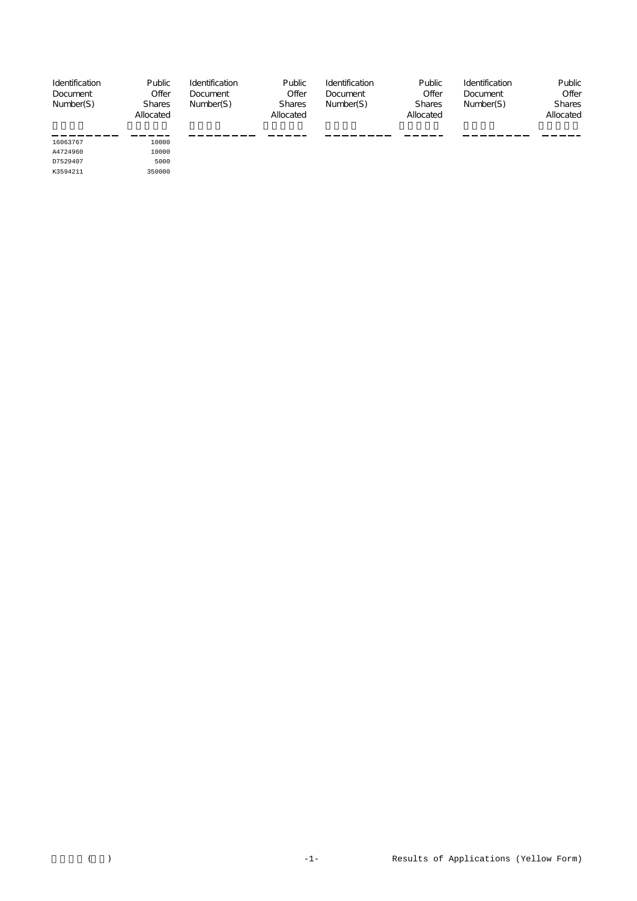| Identification<br>Document<br>Number(S)      | Public<br>Offer<br><b>Shares</b><br>Allocated | Identification<br>Document<br>Number(S) | Public<br>Offer<br><b>Shares</b><br>Allocated | Identification<br>Document<br>Number(S) | Public<br>Offer<br><b>Shares</b><br>Allocated | Identification<br>Document<br>Number(S) | Public<br>Offer<br><b>Shares</b><br>Allocated |
|----------------------------------------------|-----------------------------------------------|-----------------------------------------|-----------------------------------------------|-----------------------------------------|-----------------------------------------------|-----------------------------------------|-----------------------------------------------|
| 16063767<br>A4724960<br>D7529407<br>K3594211 | 10000<br>10000<br>5000<br>350000              |                                         |                                               |                                         |                                               |                                         |                                               |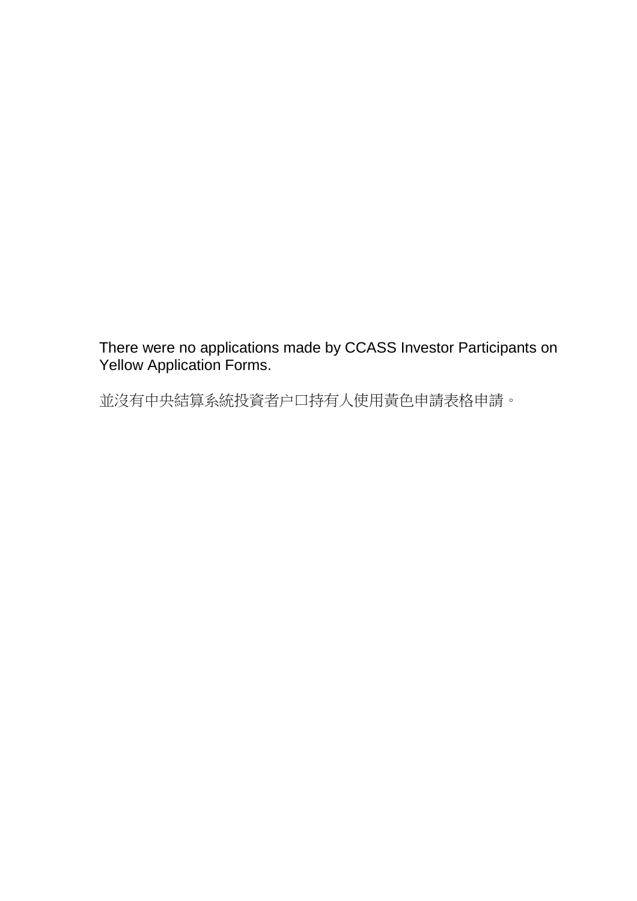There were no applications made by CCASS Investor Participants on Yellow Application Forms.

並沒有中央結算系統投資者户口持有人使用黃色申請表格申請。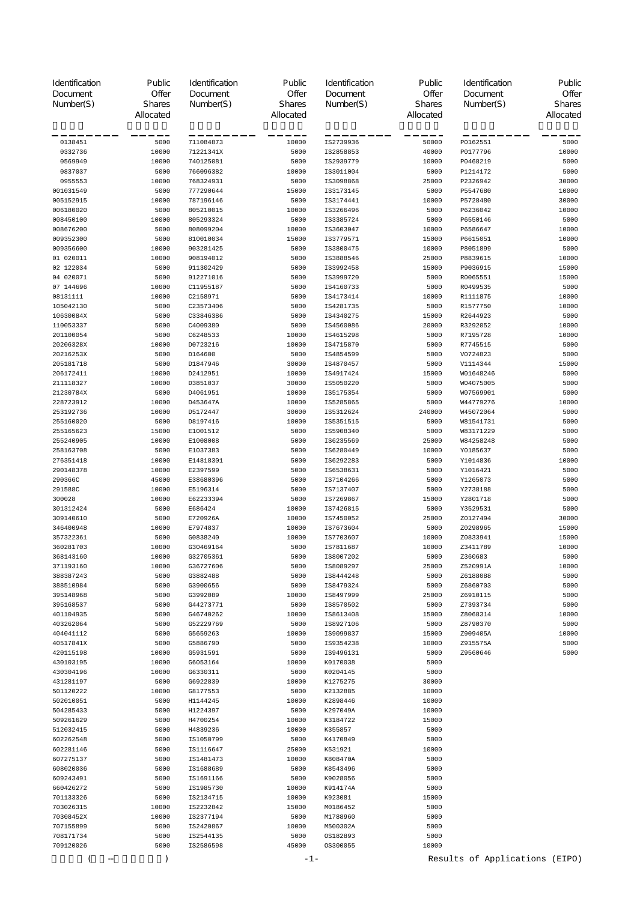| Identification<br>Document<br>Number(S) | Public<br>Offer<br><b>Shares</b><br>Allocated | Identification<br>Document<br>Number(S) | Public<br>Offer<br>Shares<br>Allocated | Identification<br>Document<br>Number(S) | Public<br>Offer<br>Shares<br>Allocated | Identification<br>Document<br>Number(S) | Public<br>Offer<br><b>Shares</b><br>Allocated |
|-----------------------------------------|-----------------------------------------------|-----------------------------------------|----------------------------------------|-----------------------------------------|----------------------------------------|-----------------------------------------|-----------------------------------------------|
| 0138451                                 | 5000                                          | 711084873                               | 10000                                  | IS2739936                               | 50000                                  | P0162551                                | 5000                                          |
| 0332736                                 | 10000                                         | 71221341X                               | 5000                                   | IS2858853                               | 40000                                  | P0177796                                | 10000                                         |
| 0569949                                 | 10000                                         | 740125081                               | 5000                                   | IS2939779                               | 10000                                  | P0468219                                | 5000                                          |
| 0837037                                 | 5000                                          | 766096382                               | 10000                                  | IS3011004                               | 5000                                   | P1214172                                | 5000                                          |
| 0955553                                 | 10000                                         | 768324931                               | 5000                                   | IS3098868                               | 25000                                  | P2326942                                | 30000                                         |
| 001031549                               | 5000                                          | 777290644                               | 15000                                  | IS3173145                               | 5000                                   | P5547680                                | 10000                                         |
| 005152915                               | 10000                                         | 787196146                               | 5000                                   | IS3174441                               | 10000                                  | P5728480                                | 30000                                         |
| 006180020                               | 5000                                          | 805210015                               | 10000                                  | IS3266496                               | 5000                                   | P6236042                                | 10000                                         |
| 008450100                               | 10000                                         | 805293324                               | 5000                                   | IS3385724                               | 5000                                   | P6550146                                | 5000                                          |
| 008676200                               | 5000                                          | 808099204                               | 10000                                  | IS3603047                               | 10000                                  | P6586647                                | 10000                                         |
| 009352300                               | 5000                                          | 810010034                               | 15000                                  | IS3779571                               | 15000                                  | P6615051                                | 10000                                         |
| 009356600                               | 10000                                         | 903281425                               | 5000                                   | IS3800475                               | 10000                                  | P8051899                                | 5000                                          |
| 01 020011                               | 10000                                         | 908194012                               | 5000                                   | IS3888546                               | 25000                                  | P8839615                                | 10000                                         |
| 02 122034                               | 5000                                          | 911302429                               | 5000                                   | IS3992458                               | 15000                                  | P9036915                                | 15000                                         |
| 04 020071                               | 5000                                          | 912271016                               | 5000                                   | IS3999720                               | 5000                                   | R0065551                                | 15000                                         |
| 07 144696                               | 10000                                         | C11955187                               | 5000                                   | IS4160733                               | 5000                                   | R0499535                                | 5000                                          |
| 08131111                                | 10000                                         | C2158971                                | 5000                                   | IS4173414                               | 10000                                  | R1111875                                | 10000                                         |
| 105042130                               | 5000                                          | C23573406                               | 5000                                   | IS4281735                               | 5000                                   | R1577750                                | 10000                                         |
| 10630084X                               | 5000                                          | C33846386                               | 5000                                   | IS4340275                               | 15000                                  | R2644923                                | 5000                                          |
| 110053337                               | 5000                                          | C4009380<br>C6248533                    | 5000                                   | IS4560086                               | 20000                                  | R3292052                                | 10000                                         |
| 201100054                               | 5000                                          | D0723216                                | 10000                                  | IS4615298                               | 5000                                   | R7195728                                | 10000                                         |
| 20206328X<br>20216253X                  | 10000<br>5000                                 | D164600                                 | 10000<br>5000                          | IS4715870<br>IS4854599                  | 5000<br>5000                           | R7745515<br>V0724823                    | 5000<br>5000                                  |
| 205181718                               | 5000                                          | D1847946                                | 30000                                  | IS4870457                               | 5000                                   | V1114344                                | 15000                                         |
| 206172411                               | 10000                                         | D2412951                                | 10000                                  | IS4917424                               | 15000                                  | W01648246                               | 5000                                          |
| 211118327                               | 10000                                         | D3851037                                | 30000                                  | IS5050220                               | 5000                                   | W04075005                               | 5000                                          |
| 21230784X                               | 5000                                          | D4061951                                | 10000                                  | IS5175354                               | 5000                                   | W07569901                               | 5000                                          |
| 228723912                               | 10000                                         | D453647A                                | 10000                                  | IS5285865                               | 5000                                   | W44779276                               | 10000                                         |
| 253192736                               | 10000                                         | D5172447                                | 30000                                  | IS5312624                               | 240000                                 | W45072064                               | 5000                                          |
| 255160020                               | 5000                                          | D8197416                                | 10000                                  | IS5351515                               | 5000                                   | W81541731                               | 5000                                          |
| 255165623                               | 15000                                         | E1001512                                | 5000                                   | IS5908340                               | 5000                                   | W83171229                               | 5000                                          |
| 255240905                               | 10000                                         | E1008008                                | 5000                                   | IS6235569                               | 25000                                  | W84258248                               | 5000                                          |
| 258163708                               | 5000                                          | E1037383                                | 5000                                   | IS6280449                               | 10000                                  | Y0185637                                | 5000                                          |
| 276351418                               | 10000                                         | E14818301                               | 5000                                   | IS6292283                               | 5000                                   | Y1014836                                | 10000                                         |
| 290148378                               | 10000                                         | E2397599                                | 5000                                   | IS6538631                               | 5000                                   | Y1016421                                | 5000                                          |
| 290366C                                 | 45000                                         | E38680396                               | 5000                                   | IS7104266                               | 5000                                   | Y1265073                                | 5000                                          |
| 291588C                                 | 10000                                         | E5196314                                | 5000                                   | IS7137407                               | 5000                                   | Y2738188                                | 5000                                          |
| 300028                                  | 10000                                         | E62233394                               | 5000                                   | IS7269867                               | 15000                                  | Y2801718                                | 5000                                          |
| 301312424                               | 5000                                          | E686424                                 | 10000                                  | IS7426815                               | 5000                                   | Y3529531                                | 5000                                          |
| 309140610                               | 5000                                          | E720926A                                | 10000                                  | IS7450052                               | 25000                                  | Z0127494                                | 30000                                         |
| 346400948                               | 10000                                         | E7974837                                | 10000                                  | IS7673604                               | 5000                                   | Z0298965                                | 15000                                         |
| 357322361                               | 5000                                          | G0838240                                | 10000                                  | IS7703607                               | 10000                                  | Z0833941                                | 15000                                         |
| 360281703                               | 10000                                         | G30469164                               | 5000                                   | IS7811687                               | 10000                                  | Z3411789                                | 10000                                         |
| 368143160                               | 10000                                         | G32705361                               | 5000                                   | IS8007202                               | 5000                                   | Z360683                                 | 5000                                          |
| 371193160                               | 10000                                         | G36727606                               | 5000                                   | IS8089297                               | 25000                                  | Z520991A                                | 10000                                         |
| 388387243                               | 5000                                          | G3882488                                | 5000                                   | IS8444248                               | 5000                                   | Z6188088                                | 5000                                          |
| 388510984                               | 5000                                          | G3900656                                | 5000                                   | IS8479324                               | 5000                                   | Z6860703                                | 5000                                          |
| 395148968<br>395168537                  | 5000<br>5000                                  | G3992089<br>G44273771                   | 10000<br>5000                          | IS8497999<br>IS8570502                  | 25000<br>5000                          | Z6910115<br>Z7393734                    | 5000<br>5000                                  |
| 401104935                               | 5000                                          | G46740262                               | 10000                                  | IS8613408                               | 15000                                  | Z8068314                                | 10000                                         |
| 403262064                               | 5000                                          | G52229769                               | 5000                                   | IS8927106                               | 5000                                   | Z8790370                                | 5000                                          |
| 404041112                               | 5000                                          | G5659263                                | 10000                                  | IS9099837                               | 15000                                  | Z909405A                                | 10000                                         |
| 40517841X                               | 5000                                          | G5886790                                | 5000                                   | IS9354238                               | 10000                                  | Z915575A                                | 5000                                          |
| 420115198                               | 10000                                         | G5931591                                | 5000                                   | IS9496131                               | 5000                                   | 29560646                                | 5000                                          |
| 430103195                               | 10000                                         | G6053164                                | 10000                                  | K0170038                                | 5000                                   |                                         |                                               |
| 430304196                               | 10000                                         | G6330311                                | 5000                                   | K0204145                                | 5000                                   |                                         |                                               |
| 431281197                               | 5000                                          | G6922839                                | 10000                                  | K1275275                                | 30000                                  |                                         |                                               |
| 501120222                               | 10000                                         | G8177553                                | 5000                                   | K2132885                                | 10000                                  |                                         |                                               |
| 502010051                               | 5000                                          | H1144245                                | 10000                                  | K2898446                                | 10000                                  |                                         |                                               |
| 504285433                               | 5000                                          | H1224397                                | 5000                                   | K297049A                                | 10000                                  |                                         |                                               |
| 509261629                               | 5000                                          | H4700254                                | 10000                                  | K3184722                                | 15000                                  |                                         |                                               |
| 512032415                               | 5000                                          | H4839236                                | 10000                                  | K355857                                 | 5000                                   |                                         |                                               |
| 602262548                               | 5000                                          | IS1050799                               | 5000                                   | K4170849                                | 5000                                   |                                         |                                               |
| 602281146                               | 5000                                          | IS1116647                               | 25000                                  | K531921                                 | 10000                                  |                                         |                                               |
| 607275137                               | 5000                                          | IS1481473                               | 10000                                  | K808470A                                | 5000                                   |                                         |                                               |
| 608020036                               | 5000                                          | IS1688689                               | 5000                                   | K8543496                                | 5000                                   |                                         |                                               |
| 609243491                               | 5000                                          | IS1691166                               | 5000                                   | K9028056                                | 5000                                   |                                         |                                               |
| 660426272                               | 5000                                          | IS1985730                               | 10000                                  | K914174A                                | 5000                                   |                                         |                                               |
| 701133326                               | 5000                                          | IS2134715                               | 10000                                  | K923081                                 | 15000                                  |                                         |                                               |
| 703026315                               | 10000                                         | IS2232842                               | 15000                                  | M0186452                                | 5000                                   |                                         |                                               |
| 70308452X                               | 10000                                         | IS2377194                               | 5000                                   | M1788960                                | 5000                                   |                                         |                                               |
| 707155899                               | 5000                                          | IS2420867                               | 10000                                  | M500302A                                | 5000                                   |                                         |                                               |
| 708171734                               | 5000                                          | IS2544135                               | 5000                                   | OS182893                                | 5000                                   |                                         |                                               |
| 709120026                               | 5000                                          | IS2586598                               | 45000                                  | 0S300055                                | 10000                                  |                                         |                                               |
| --                                      | $\mathcal{E}$                                 |                                         | $-1-$                                  |                                         |                                        | Results of Applications (EIPO)          |                                               |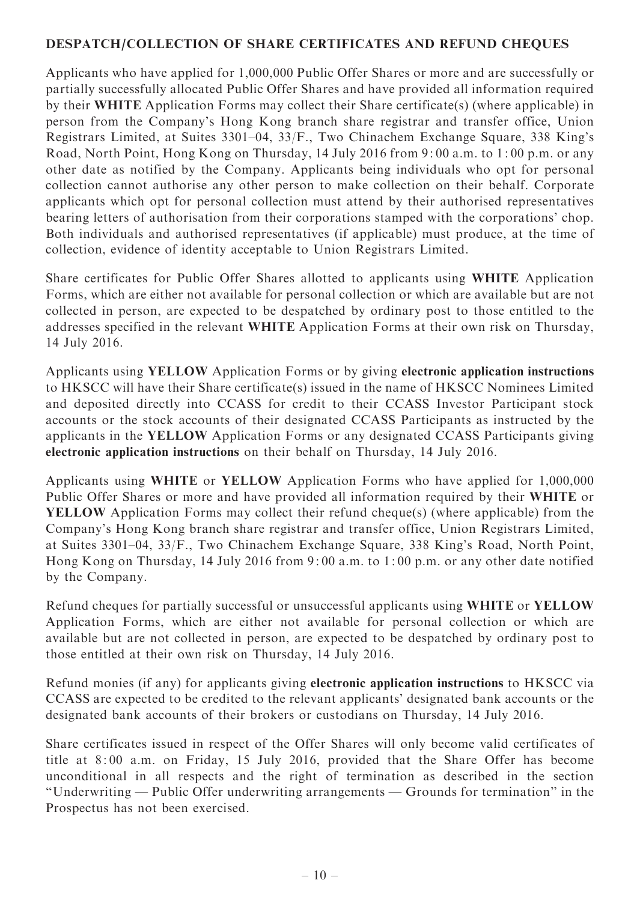## DESPATCH/COLLECTION OF SHARE CERTIFICATES AND REFUND CHEQUES

Applicants who have applied for 1,000,000 Public Offer Shares or more and are successfully or partially successfully allocated Public Offer Shares and have provided all information required by their WHITE Application Forms may collect their Share certificate(s) (where applicable) in person from the Company's Hong Kong branch share registrar and transfer office, Union Registrars Limited, at Suites 3301–04, 33/F., Two Chinachem Exchange Square, 338 King's Road, North Point, Hong Kong on Thursday, 14 July 2016 from 9: 00 a.m. to 1: 00 p.m. or any other date as notified by the Company. Applicants being individuals who opt for personal collection cannot authorise any other person to make collection on their behalf. Corporate applicants which opt for personal collection must attend by their authorised representatives bearing letters of authorisation from their corporations stamped with the corporations' chop. Both individuals and authorised representatives (if applicable) must produce, at the time of collection, evidence of identity acceptable to Union Registrars Limited.

Share certificates for Public Offer Shares allotted to applicants using WHITE Application Forms, which are either not available for personal collection or which are available but are not collected in person, are expected to be despatched by ordinary post to those entitled to the addresses specified in the relevant WHITE Application Forms at their own risk on Thursday, 14 July 2016.

Applicants using YELLOW Application Forms or by giving electronic application instructions to HKSCC will have their Share certificate(s) issued in the name of HKSCC Nominees Limited and deposited directly into CCASS for credit to their CCASS Investor Participant stock accounts or the stock accounts of their designated CCASS Participants as instructed by the applicants in the YELLOW Application Forms or any designated CCASS Participants giving electronic application instructions on their behalf on Thursday, 14 July 2016.

Applicants using WHITE or YELLOW Application Forms who have applied for 1,000,000 Public Offer Shares or more and have provided all information required by their WHITE or YELLOW Application Forms may collect their refund cheque(s) (where applicable) from the Company's Hong Kong branch share registrar and transfer office, Union Registrars Limited, at Suites 3301–04, 33/F., Two Chinachem Exchange Square, 338 King's Road, North Point, Hong Kong on Thursday, 14 July 2016 from 9: 00 a.m. to 1: 00 p.m. or any other date notified by the Company.

Refund cheques for partially successful or unsuccessful applicants using WHITE or YELLOW Application Forms, which are either not available for personal collection or which are available but are not collected in person, are expected to be despatched by ordinary post to those entitled at their own risk on Thursday, 14 July 2016.

Refund monies (if any) for applicants giving electronic application instructions to HKSCC via CCASS are expected to be credited to the relevant applicants' designated bank accounts or the designated bank accounts of their brokers or custodians on Thursday, 14 July 2016.

Share certificates issued in respect of the Offer Shares will only become valid certificates of title at 8: 00 a.m. on Friday, 15 July 2016, provided that the Share Offer has become unconditional in all respects and the right of termination as described in the section ''Underwriting — Public Offer underwriting arrangements — Grounds for termination'' in the Prospectus has not been exercised.